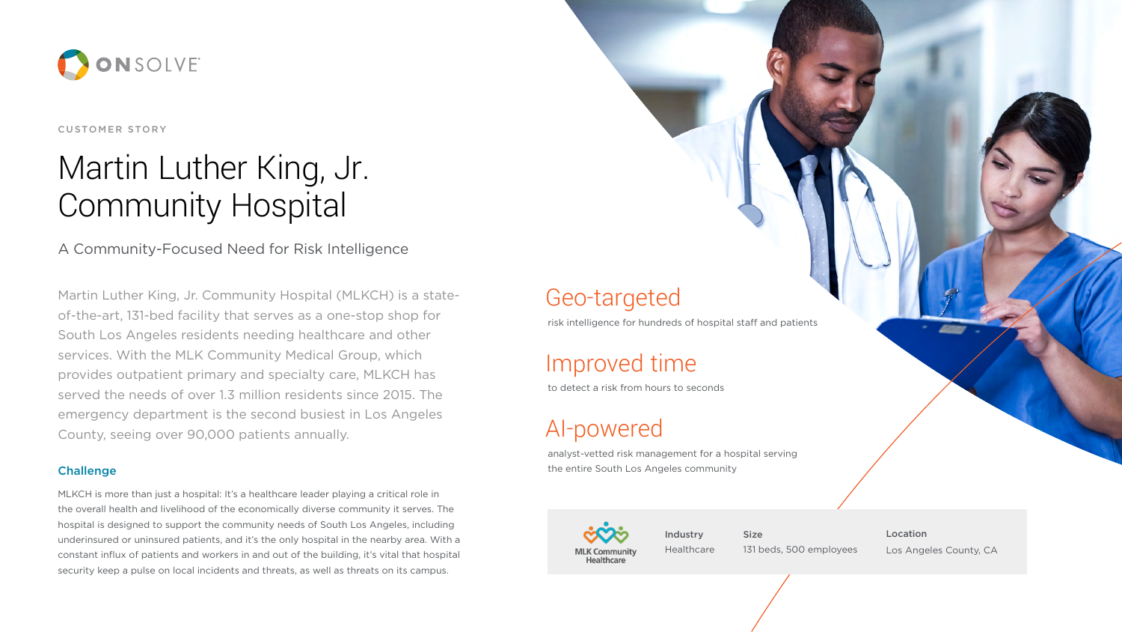### 5,600+ employees Geo-targeted

### 100 localized emergencies Improved time

to detect a risk from hours to seconds

# AI-powered

analyst-vetted risk management for a hospital serving the entire South Los Angeles community



## Martin Luther King Community Hospital Martin Luther King, Jr.



CUSTOMER STORY

### A Community-Focused Need for Risk Intelligence

Martin Luther King, Jr. Community Hospital (MLKCH) is a stateof-the-art, 131-bed facility that serves as a one-stop shop for South Los Angeles residents needing healthcare and other services. With the MLK Community Medical Group, which provides outpatient primary and specialty care, MLKCH has served the needs of over 1.3 million residents since 2015. The emergency department is the second busiest in Los Angeles County, seeing over 90,000 patients annually.

#### **Challenge**

es Los Angeles County, CA Location



MLKCH is more than just a hospital: It's a healthcare leader playing a critical role in the overall health and livelihood of the economically diverse community it serves. The hospital is designed to support the community needs of South Los Angeles, including underinsured or uninsured patients, and it's the only hospital in the nearby area. With a constant influx of patients and workers in and out of the building, it's vital that hospital security keep a pulse on local incidents and threats, as well as threats on its campus.

risk intelligence for hundreds of hospital staff and patients

Industry Healthcare

**Industrial Size** 131 beds, 500 employees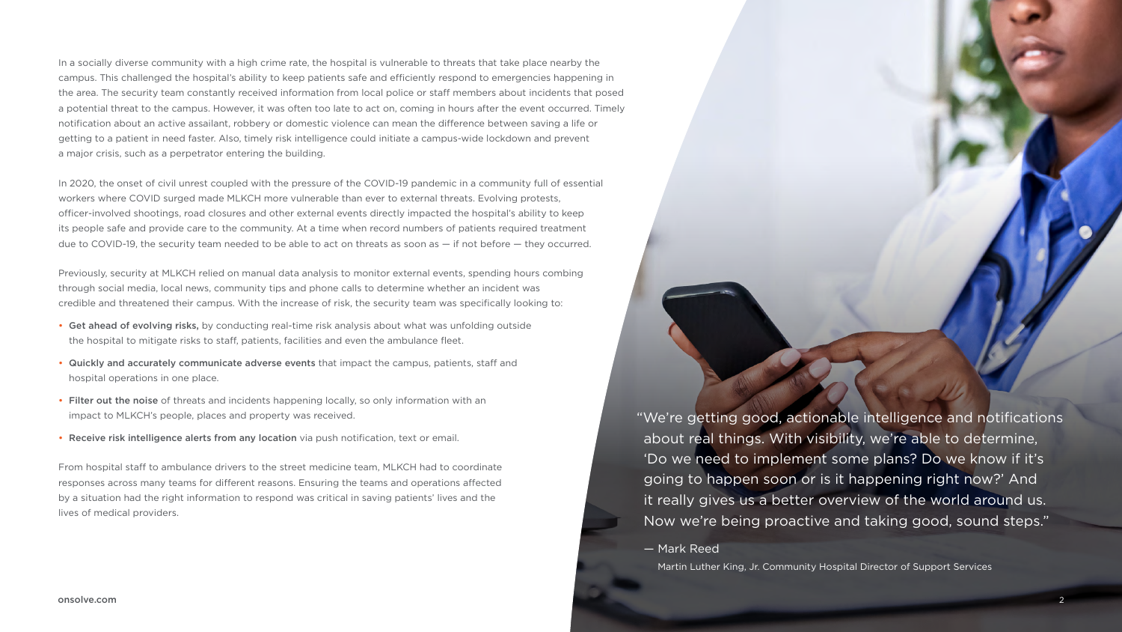"We're getting good, actionable intelligence and notifications about real things. With visibility, we're able to determine, 'Do we need to implement some plans? Do we know if it's going to happen soon or is it happening right now?' And it really gives us a better overview of the world around us. Now we're being proactive and taking good, sound steps."

— Mark Reed

Martin Luther King, Jr. Community Hospital Director of Support Services

In a socially diverse community with a high crime rate, the hospital is vulnerable to threats that take place nearby the campus. This challenged the hospital's ability to keep patients safe and efficiently respond to emergencies happening in the area. The security team constantly received information from local police or staff members about incidents that posed a potential threat to the campus. However, it was often too late to act on, coming in hours after the event occurred. Timely notification about an active assailant, robbery or domestic violence can mean the difference between saving a life or getting to a patient in need faster. Also, timely risk intelligence could initiate a campus-wide lockdown and prevent a major crisis, such as a perpetrator entering the building.

In 2020, the onset of civil unrest coupled with the pressure of the COVID-19 pandemic in a community full of essential workers where COVID surged made MLKCH more vulnerable than ever to external threats. Evolving protests, officer-involved shootings, road closures and other external events directly impacted the hospital's ability to keep its people safe and provide care to the community. At a time when record numbers of patients required treatment due to COVID-19, the security team needed to be able to act on threats as soon as — if not before — they occurred.

Previously, security at MLKCH relied on manual data analysis to monitor external events, spending hours combing through social media, local news, community tips and phone calls to determine whether an incident was credible and threatened their campus. With the increase of risk, the security team was specifically looking to:

- Get ahead of evolving risks, by conducting real-time risk analysis about what was unfolding outside the hospital to mitigate risks to staff, patients, facilities and even the ambulance fleet.
- Quickly and accurately communicate adverse events that impact the campus, patients, staff and hospital operations in one place.
- Filter out the noise of threats and incidents happening locally, so only information with an impact to MLKCH's people, places and property was received.
- Receive risk intelligence alerts from any location via push notification, text or email.

From hospital staff to ambulance drivers to the street medicine team, MLKCH had to coordinate responses across many teams for different reasons. Ensuring the teams and operations affected by a situation had the right information to respond was critical in saving patients' lives and the lives of medical providers.